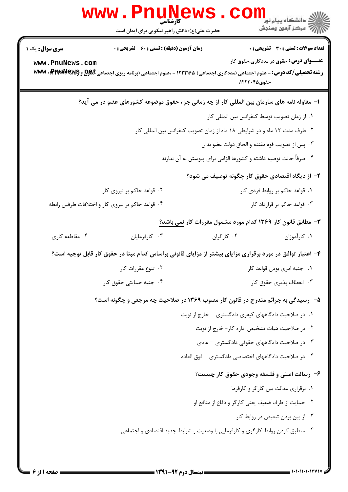|                                                                                             | www.Pnunews<br>حضرت علی(ع): دانش راهبر نیکویی برای ایمان است              | کے دانشگاہ پیام نور COM<br>آباد کا آزمون وسنجش                                                                                                                                                                   |  |  |  |
|---------------------------------------------------------------------------------------------|---------------------------------------------------------------------------|------------------------------------------------------------------------------------------------------------------------------------------------------------------------------------------------------------------|--|--|--|
| <b>سری سوال :</b> یک ۱                                                                      | <b>زمان آزمون (دقیقه) : تستی : 60 ٪ تشریحی : 0</b>                        | <b>تعداد سوالات : تستی : 30 ٪ تشریحی : 0</b>                                                                                                                                                                     |  |  |  |
| www.PnuNews.com                                                                             |                                                                           | <b>عنــــوان درس:</b> حقوق در مددکاری،حقوق کار<br><b>رشته تحصیلی/کد درس:</b> - علوم اجتماعی (مددکاری اجتماعی) ۱۲۲۲۱۶۵ - ،علوم اجتماعی (برنامه ریزی اجتماعی ک <del>لگورا</del> و www. PtrudVeyey<br>حقوق ۱۲۲۳۰۴۵. |  |  |  |
| ا– مقاوله نامه های سازمان بین المللی کار از چه زمانی جزء حقوق موضوعه کشورهای عضو در می آید؟ |                                                                           |                                                                                                                                                                                                                  |  |  |  |
|                                                                                             |                                                                           | ٠١ از زمان تصويب توسط كنفرانس بين المللي كار                                                                                                                                                                     |  |  |  |
|                                                                                             | ۲. ظرف مدت ۱۲ ماه و در شرایطی ۱۸ ماه از زمان تصویب کنفرانس بین المللی کار |                                                                                                                                                                                                                  |  |  |  |
|                                                                                             |                                                                           | ۰۳ پس از تصویب قوه مقننه و الحاق دولت عضو بدان                                                                                                                                                                   |  |  |  |
| ۰۴ صرفاً حالت توصیه داشته و کشورها الزامی برای پیوستن به آن ندارند.                         |                                                                           |                                                                                                                                                                                                                  |  |  |  |
|                                                                                             |                                                                           | ۲– از دیگاه اقتصادی حقوق کار چگونه توصیف می شود؟                                                                                                                                                                 |  |  |  |
|                                                                                             | ۰۲ قواعد حاکم بر نیروی کار                                                | ۰۱ قواعد حاکم بر روابط فردی کار                                                                                                                                                                                  |  |  |  |
|                                                                                             | ۰۴ قواعد حاكم بر نيروي كار و اختلافات طرفين رابطه                         | ۰۳ قواعد حاکم بر قرارداد کار                                                                                                                                                                                     |  |  |  |
|                                                                                             |                                                                           | ۳- مطابق قانون کار ۱۳۶۹ کدام مورد مشمول مقررات کار نمی باشد؟                                                                                                                                                     |  |  |  |
| ۰۴ مقاطعه کاری                                                                              | ۰۳ کارفرمایان                                                             | ۰۲ کارگران<br>۰۱ کارآموزان                                                                                                                                                                                       |  |  |  |
|                                                                                             |                                                                           | ۴- اعتبار توافق در مورد برقراری مزایای بیشتر از مزایای قانونی براساس کدام مبنا در حقوق کار قابل توجیه است؟                                                                                                       |  |  |  |
|                                                                                             | ۰۲ تنوع مقررات کار                                                        | ۰۱ - جنبه امری بودن قواعد کار                                                                                                                                                                                    |  |  |  |
|                                                                                             | ۰۴ جنبه حمایتی حقوق کار                                                   | ۰۳ انعطاف پذیری حقوق کار                                                                                                                                                                                         |  |  |  |
|                                                                                             |                                                                           | ۵–۔ رسیدگی به جرائم مندرج در قانون کار مصوب ۱۳۶۹ در صلاحیت چه مرجعی و چگونه است؟                                                                                                                                 |  |  |  |
|                                                                                             |                                                                           | ۰۱ در صلاحیت دادگاههای کیفری دادگستری – خارج از نوبت                                                                                                                                                             |  |  |  |
|                                                                                             |                                                                           | ۰۲ در صلاحیت هیات تشخیص اداره کار- خارج از نوبت                                                                                                                                                                  |  |  |  |
|                                                                                             |                                                                           | ۰۳ در صلاحیت دادگاههای حقوقی دادگستری – عادی                                                                                                                                                                     |  |  |  |
|                                                                                             |                                                                           | ۰۴ در صلاحیت دادگاههای اختصاصی دادگستری – فوق العاده                                                                                                                                                             |  |  |  |
|                                                                                             |                                                                           | ۶- رسالت اصلی و فلسفه وجودی حقوق کار چیست؟                                                                                                                                                                       |  |  |  |
|                                                                                             |                                                                           | ۰۱ برقراری عدالت بین کارگر و کارفرما                                                                                                                                                                             |  |  |  |
|                                                                                             |                                                                           | ۰۲ حمایت از طرف ضعیف یعنی کارگر و دفاع از منافع او                                                                                                                                                               |  |  |  |
|                                                                                             |                                                                           | ۰۳ از بین بردن تبعیض در روابط کار                                                                                                                                                                                |  |  |  |
|                                                                                             |                                                                           | ۰۴ منطبق کردن روابط کارگری و کارفرمایی با وضعیت و شرایط جدید اقتصادی و اجتماعی                                                                                                                                   |  |  |  |

**DESIMATE**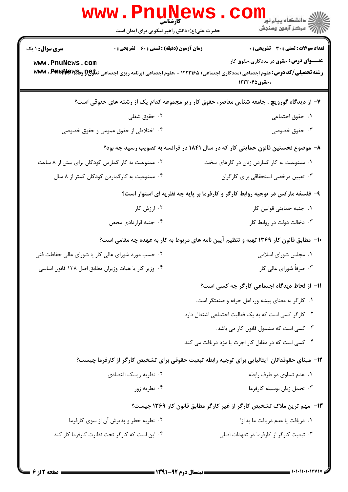|                                                      | کارشناسی<br>حضرت علی(ع): دانش راهبر نیکویی برای ایمان است |                                             | ڪ دانشڪاه پيام نور "<br>∥7 مرڪز آزمون وسنڊش                                                                                                                                                                     |  |
|------------------------------------------------------|-----------------------------------------------------------|---------------------------------------------|-----------------------------------------------------------------------------------------------------------------------------------------------------------------------------------------------------------------|--|
| <b>سری سوال : ۱ یک</b>                               | <b>زمان آزمون (دقیقه) : تستی : 60 ٪ تشریحی : 0</b>        |                                             | <b>تعداد سوالات : تستی : 30 ٪ تشریحی : 0</b>                                                                                                                                                                    |  |
| www.PnuNews.com                                      |                                                           |                                             | <b>عنــــوان درس:</b> حقوق در مددکاری،حقوق کار<br><b>رشته تحصیلی/کد درس:</b> علوم اجتماعی (مددکاری اجتماعی) ۱۲۲۲۱۶۵ - ،علوم اجتماعی (برنامه ریزی اجتماعی ت <del>ماوP و WW</del> V . PpptdNerw &<br>،حقوق1۲۲۳۰۴۵ |  |
|                                                      |                                                           |                                             | ۷- از دیدگاه گورویچ ، جامعه شناس معاصر، حقوق کار زیر مجموعه کدام یک از رشته های حقوقی است؟                                                                                                                      |  |
|                                                      | ۰۲ حقوق شغلی                                              |                                             | ٠١ حقوق اجتماعي                                                                                                                                                                                                 |  |
|                                                      | ۰۴ اختلاطی از حقوق عمومی و حقوق خصوصی                     |                                             | ۰۳ حقوق خصوصی                                                                                                                                                                                                   |  |
|                                                      |                                                           |                                             | ۸– موضوع نخستین قانون حمایتی کار که در سال ۱۸۴۱ در فرانسه به تصویب رسید چه بود؟                                                                                                                                 |  |
| ۰۲ ممنوعیت به کار گماردن کودکان برای بیش از ۸ ساعت   |                                                           | ۰۱ ممنوعیت به کار گماردن زنان در کارهای سخت |                                                                                                                                                                                                                 |  |
|                                                      | ۰۴ ممنوعیت به کارگماردن کودکان کمتر از ۸ سال              |                                             | ۰۳ تعیین مرخصی استحقاقی برای کارگران                                                                                                                                                                            |  |
|                                                      |                                                           |                                             | ۹- فلسفه مارکس در توجیه روابط کارگر و کارفرما بر پایه چه نظریه ای استوار است؟                                                                                                                                   |  |
|                                                      | ۰۲ ارزش کار                                               |                                             | ٠١. جنبه حمايتي قوانين كار                                                                                                                                                                                      |  |
|                                                      | ۰۴ جنبه قراردادی محض                                      |                                             | ۰۳ دخالت دولت در روابط کار                                                                                                                                                                                      |  |
|                                                      |                                                           |                                             | ۱۰− ً مطابق قانون کار ۱۳۶۹ تهیه و تنظیم آیین نامه های مربوط به کار به عهده چه مقامی است؟                                                                                                                        |  |
| ۰۲ حسب مورد شورای عالی کار یا شورای عالی حفاظت فنی   |                                                           | ۰۱ مجلس شورای اسلامی                        |                                                                                                                                                                                                                 |  |
| ۰۴ وزیر کار یا هیات وزیران مطابق اصل ۱۳۸ قانون اساسی |                                                           |                                             | ۰۳ صرفاً شورای عالی کار                                                                                                                                                                                         |  |
|                                                      |                                                           |                                             | 11- از لحاظ دیدگاه اجتماعی کارگر چه کسی است؟                                                                                                                                                                    |  |
|                                                      |                                                           |                                             | ۰۱ کارگر به معنای پیشه ور، اهل حرفه و صنعتگر است.                                                                                                                                                               |  |
|                                                      |                                                           |                                             | ۰۲ کارگر کسی است که به یک فعالیت اجتماعی اشتغال دارد.                                                                                                                                                           |  |
|                                                      |                                                           |                                             | ۰۳ کسی است که مشمول قانون کار می باشد.                                                                                                                                                                          |  |
|                                                      |                                                           |                                             | ۰۴ کسی است که در مقابل کار اجرت یا مزد دریافت می کند.                                                                                                                                                           |  |
|                                                      |                                                           |                                             | ۱۲- مبنای حقوقدانان ایتالیایی برای توجیه رابطه تبعیت حقوقی برای تشخیص کارگر از کارفرما چیست؟                                                                                                                    |  |
| ۰۲ نظریه ریسک اقتصادی                                |                                                           |                                             | ۰۱ عدم تساوى دو طرف رابطه                                                                                                                                                                                       |  |
| ۰۴ نظریه زور                                         |                                                           |                                             | ۰۳ تحمل زيان بوسيله كارفرما                                                                                                                                                                                     |  |
|                                                      |                                                           |                                             | ۱۳- مهم ترین ملاک تشخیص کارگر از غیر کارگر مطابق قانون کار ۱۳۶۹ چیست؟                                                                                                                                           |  |
|                                                      | ۰۲ نظریه خطر و پذیرش آن از سوی کارفرما                    |                                             | ٠١ دريافت يا عدم دريافت ما به ازا                                                                                                                                                                               |  |
| ۰۴ این است که کارگر تحت نظارت کارفرما کار کند.       |                                                           |                                             | ۰۳ تبعیت کارگر از کارفرما در تعهدات اصلی                                                                                                                                                                        |  |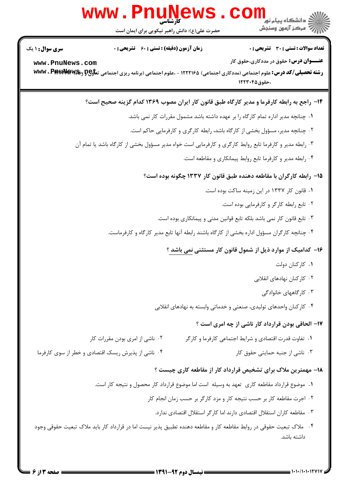## $\mathbf{WS}$  .  $\mathbf{com}_{\mathbb{R}^{1,1} \times \mathbb{R}^{1,2}}$ الآلاء مركز آزمون وسنجش حضرت علی(ع): دانش راهبر نیکویی برای ایمان است **تعداد سوالات : تستي : 30 ٪ تشريحي : 0 سری سوال : ۱ یک زمان آزمون (دقیقه) : تستی : 60 تشریحی : 0 عنـــوان درس:** حقوق در مددکاری،حقوق کار www.PnuNews.com رشته تحصیلی/کد درس: علوم اجتماعی (مددکاری اجتماعی) ۱۲۲۲۱۶۵ - ،علوم اجتماعی (برنامه ریزی اجتماعی تع<del>لوP رنگا www . PpptAMa</del>w ، حقوق ١٢٢٣٠٤ ۱۴- راجع به رابطه کارفرما و مدیر کارگاه طبق قانون کار ایران مصوب ۱۳۶۹ کدام گزینه صحیح است؟ ٠١ چنانچه مدير اداره تمام كارگاه را بر عهده داشته باشد مشمول مقررات كار نمى باشد. ۰۲ چنانچه مدیر، مسؤول بخشی از کارگاه باشد، رابطه کارگری و کارفرمایی حاکم است. ۰۳ رابطه مدیر و کارفرما تابع روابط کارگری و کارفرمایی است خواه مدیر مسؤول بخشی از کارگاه باشد یا تمام آن ۰۴ رابطه مدیر و کارفرما تابع روابط پیمانکاری و مقاطعه است. ۱۵– رابطه کارگران با مقاطعه دهنده طبق قانون کار ۱۳۳۷ چگونه بوده است؟ ۰۱ قانون کار ۱۳۳۷ در این زمینه ساکت بوده است. ٢. تابع رابطه كاركر و كارفرمايي بوده است. ۰۳ تابع قانون کار نمی باشد بلکه تابع قوانین مدنی و پیمانکاری بوده است. ۰۴ چنانچه کارگران مسؤول اداره بخشی از کارگاه باشند رابطه آنها تابع مدیر کارگاه و کارفرماست. ۱۶- کدامیک از موارد ذیل از شمول قانون کار مستثنی نمی باشد ؟ ۰۱ کارکنان دولت ۰۲ کار کنان نهادهای انقلابی ۰۳ کار گاههای خانوادگی ۰۴ کار کنان واحدهای تولیدی، صنعتی و خدماتی وابسته به نهادهای انقلابی ۱۷- الحاقی بودن قرارداد کار ناشی از چه امری است ؟ ۰۱ تفاوت قدرت اقتصادی و شرایط اجتماعی کارفرما و کارگر ۰۲ ناشی از امری بودن مقررات کار ۰۴ ناشی از پذیرش ریسک اقتصادی و خطر از سوی کارفرما ۰۳ ناشی از جنبه حمایتی حقوق کار ۱۸– مهمترین ملاک برای تشخیص قرارداد کار از مقاطعه کاری چیست ؟ ٠١ موضوع قرارداد مقاطعه كارى تعهد به وسيله است اما موضوع قرارداد كار محصول و نتيجه كار است. ۲. اجرت مقاطعه کار بر حسب نتیجه کار و مزد کارگر بر حسب زمان انجام کار ۰۳ مقاطعه کاران استقلال اقتصادی دارند اما کارگر استقلال اقتصادی ندارد. ۰۴ ملاک تبعیت حقوقی در روابط مقاطعه کار و مقاطعه دهنده تطبیق پذیر نیست اما در قرارداد کار باید ملاک تبعیت حقوقی وجود داشته باشد.

www.PnuN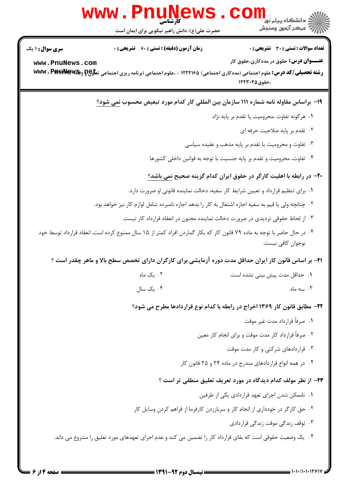| ڪ دانشڪاه پيا <sub>م</sub> نور<br>∕7 مرڪز آزمون وسنڊش                             | حضرت علی(ع): دانش راهبر نیکویی برای ایمان است                                                                                                             |
|-----------------------------------------------------------------------------------|-----------------------------------------------------------------------------------------------------------------------------------------------------------|
| تعداد سوالات : تستي : 30 ٪ تشريحي : 0                                             | <b>زمان آزمون (دقیقه) : تستی : 60 ٪ تشریحی : 0</b><br><b>سری سوال :</b> ۱ یک                                                                              |
| <b>عنـــوان درس:</b> حقوق در مددکاری،حقوق کار<br>،حقوق1۲۲۳۰۴۵                     | www.PnuNews.com<br>رشته تحصیلی/کد درس: علوم اجتماعی (مددکاری اجتماعی) ۱۲۲۲۱۶۵ - ،علوم اجتماعی (برنامه ریزی اجتماعی ت <del>ماو2G و WW</del> V . PARtARAW & |
|                                                                                   | ۱۹- براساس مقاوله نامه شماره ۱۱۱ سازمان بین المللی کار کدام مورد تبعیض محسوب نمی شود؟                                                                     |
| ٠١ هرگونه تفاوت ،محروميت يا تقدم بر پايه نژاد                                     |                                                                                                                                                           |
| ۰۲ تقدم بر پایه صلاحیت حرفه ای                                                    |                                                                                                                                                           |
| ۰۳ تفاوت و محرومیت یا تقدم بر پایه مذهب و عقیده سیاسی                             |                                                                                                                                                           |
| ۰۴ تفاوت، محرومیت و تقدم بر پایه جنسیت با توجه به قوانین داخلی کشورها             |                                                                                                                                                           |
| +۲- در رابطه با اهلیت کارگر در حقوق ایران کدام گزینه صحیح <u>نمی</u> باشد؟        |                                                                                                                                                           |
| ۰۱ برای تنظیم قرارداد و تعیین شرایط کار سفیه، دخالت نماینده قانونی او ضرورت دارد. |                                                                                                                                                           |
|                                                                                   | ۰۲ چنانچه ولی یا قیم به سفیه اجازه اشتغال به کار را بدهد اجازه نامبرده شامل لوازم کار نیز خواهد بود.                                                      |
| ۰۳ از لحاظ حقوقی تردیدی در ضرورت دخالت نماینده مجنون در انعقاد قرارداد کار نیست.  |                                                                                                                                                           |
| نوجوان كافي نيست.                                                                 | ۰۴ در حال حاضر با توجه به ماده ۷۹ قانون کار که بکار گماردن افراد کمتر از ۱۵ سال ممنوع کرده است، انعقاد قرارداد توسط خود                                   |
|                                                                                   | ٢١- بر اساس قانون کار ايران حداقل مدت دوره آزمايشي براي کارگران داراي تخصص سطح بالا و ماهر چقدر است ؟                                                     |
| ۰۱ حداقل مدت پیش بینی نشده است.                                                   | ۰۲ یک ماه                                                                                                                                                 |
| $\cdot$ ۳ سه ماه                                                                  | ۰۴ یک سال                                                                                                                                                 |
| ۲۲- مطابق قانون کار ۱۳۶۹ اخراج در رابطه با کدام نوع قراردادها مطرح می شود؟        |                                                                                                                                                           |
| ٠١ صرفاً قرارداد مدت غير موقت                                                     |                                                                                                                                                           |
| ۰۲ صرفاً قرارداد کار مدت موقت و برای انجام کار معین                               |                                                                                                                                                           |
| ۰۳ قراردادهای شرکتی و کار مدت موقت                                                |                                                                                                                                                           |
| ۰۴ در همه انواع قراردادهای مندرج در ماده ۲۴ و ۲۵ قانون کار                        |                                                                                                                                                           |
| ۲۳– از نظر مولف کدام دیدگاه در مورد تعریف تعلیق منطقی تر است ؟                    |                                                                                                                                                           |
| ۰۱ ناممکن شدن اجرای تعهد قراردادی یکی از طرفین                                    |                                                                                                                                                           |
| ۰۲ حق کارگر در خودداری از انجام کار و سرباززدن کارفرما از فراهم کردن وسایل کار    |                                                                                                                                                           |
| ۰۳ توقف زندگی موقت زندگی قراردادی                                                 |                                                                                                                                                           |
|                                                                                   | ۰۴ یک وضعیت حقوقی است که بقای قرارداد کار را تضمین می کند و عدم اجرای تعهدهای مورد تعلیق را مشروع می داند.                                                |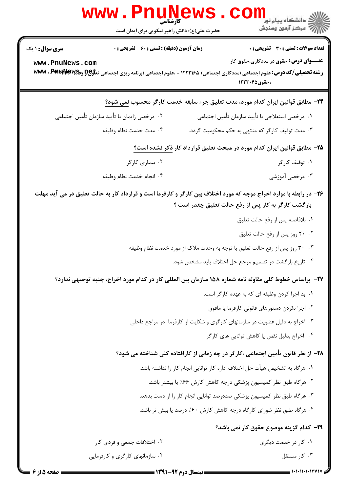|                                                                                                                                                                           | کارشناسی<br>حضرت علی(ع): دانش راهبر نیکویی برای ایمان است                                                                                                                                           |  | ڪ دانشڪاه پيام نور<br>ر <i>7</i> مرڪز آزمون وسنڊش                                                      |  |  |
|---------------------------------------------------------------------------------------------------------------------------------------------------------------------------|-----------------------------------------------------------------------------------------------------------------------------------------------------------------------------------------------------|--|--------------------------------------------------------------------------------------------------------|--|--|
| <b>سری سوال : ۱ یک</b>                                                                                                                                                    | <b>زمان آزمون (دقیقه) : تستی : 60 ٪ تشریحی : 0</b>                                                                                                                                                  |  | تعداد سوالات : تستي : 30 ٪ تشريحي : 0                                                                  |  |  |
| www.PnuNews.com                                                                                                                                                           | <b>عنــــوان درس:</b> حقوق در مددکاری،حقوق کار<br>رشته تحصیلی/کد درس: علوم اجتماعی (مددکاری اجتماعی) ۱۲۲۲۱۶۵ - ،علوم اجتماعی (برنامه ریزی اجتماعی ت <del>ماو2G</del> ونگهاWw . Ppt<br>،حقوق ۱۲۲۳۰۴۵ |  |                                                                                                        |  |  |
|                                                                                                                                                                           |                                                                                                                                                                                                     |  | ۲۴– مطابق قوانین ایران کدام مورد، مدت تعلیق جزء سابقه خدمت کارگر محسوب نمی شود؟                        |  |  |
|                                                                                                                                                                           | ۰۲ مرخصی زایمان با تأیید سازمان تأمین اجتماعی                                                                                                                                                       |  | ٠١ مرخصي استعلاجي با تأييد سازمان تأمين اجتماعي                                                        |  |  |
|                                                                                                                                                                           | ۰۴ مدت خدمت نظام وظيفه                                                                                                                                                                              |  | ۰۳ مدت توقیف کارگر که منتهی به حکم محکومیت گردد.                                                       |  |  |
|                                                                                                                                                                           |                                                                                                                                                                                                     |  | ۲۵– مطابق قوانین ایران کدام مورد در مبحث تعلیق قرارداد کار ذکر نشده است؟                               |  |  |
|                                                                                                                                                                           | ۰۲ بیماری کارگر                                                                                                                                                                                     |  | ۰۱ توقیف کارگر                                                                                         |  |  |
|                                                                                                                                                                           | ۰۴ انجام خدمت نظام وظيفه                                                                                                                                                                            |  | ۰۳ مرخصی آموزشی                                                                                        |  |  |
| ۲۶– در رابطه با موارد اخراج موجه که مورد اختلاف بین کارگر و کارفرما است و قرارداد کار به حالت تعلیق در می آید مهلت<br>بازگشت کارگر به کار پس از رفع حالت تعلیق چقدر است ؟ |                                                                                                                                                                                                     |  |                                                                                                        |  |  |
|                                                                                                                                                                           |                                                                                                                                                                                                     |  | ٠١. بلافاصله پس از رفع حالت تعليق                                                                      |  |  |
|                                                                                                                                                                           |                                                                                                                                                                                                     |  | ۰۲ ۲۰ روز پس از رفع حالت تعليق                                                                         |  |  |
|                                                                                                                                                                           |                                                                                                                                                                                                     |  | ۰۳ . ۳۰ روز پس از رفع حالت تعلیق با توجه به وحدت ملاک از مورد خدمت نظام وظیفه                          |  |  |
|                                                                                                                                                                           |                                                                                                                                                                                                     |  | ۰۴ تاریخ بازگشت در تصمیم مرجع حل اختلاف باید مشخص شود.                                                 |  |  |
|                                                                                                                                                                           |                                                                                                                                                                                                     |  | ۲۷- براساس خطوط کلی مقاوله نامه شماره ۱۵۸ سازمان بین المللی کار در کدام مورد اخراج، جنبه توجیهی ندارد؟ |  |  |
|                                                                                                                                                                           |                                                                                                                                                                                                     |  | ۰۱ بد اجرا کردن وظیفه ای که به عهده کارگر است.                                                         |  |  |
|                                                                                                                                                                           |                                                                                                                                                                                                     |  | ۰۲ اجرا نکردن دستورهای قانونی کارفرما یا مافوق                                                         |  |  |
|                                                                                                                                                                           |                                                                                                                                                                                                     |  | ۰۳ اخراج به دلیل عضویت در سازمانهای کارگری و شکایت از کارفرما ً در مراجع داخلی                         |  |  |
|                                                                                                                                                                           |                                                                                                                                                                                                     |  | ۰۴ اخراج بدلیل نقص یا کاهش توانایی های کارگر                                                           |  |  |
|                                                                                                                                                                           |                                                                                                                                                                                                     |  | ۲۸– از نظر قانون تأمین اجتماعی ،کارگر در چه زمانی از کارافتاده کلی شناخته می شود؟                      |  |  |
|                                                                                                                                                                           |                                                                                                                                                                                                     |  | ١. هرگاه به تشخيص هيأت حل اختلاف اداره كار توانايي انجام كار را نداشته باشد.                           |  |  |
|                                                                                                                                                                           |                                                                                                                                                                                                     |  | ٠٢ هرگاه طبق نظر كميسيون پزشكي درجه كاهش كارش ۶۶٪ يا بيشتر باشد.                                       |  |  |
|                                                                                                                                                                           |                                                                                                                                                                                                     |  | ۰۳ هرگاه طبق نظر کمیسیون پزشکی صددرصد توانایی انجام کار را از دست بدهد.                                |  |  |
|                                                                                                                                                                           |                                                                                                                                                                                                     |  | ۰۴ هرگاه طبق نظر شورای کارگاه درجه کاهش کارش ۶۰٪ درصد یا بیش تر باشد.                                  |  |  |
|                                                                                                                                                                           |                                                                                                                                                                                                     |  | <b>۲۹</b> – کدام گزینه موضوع حقوق کار نمی باشد؟                                                        |  |  |
|                                                                                                                                                                           | ۰۲ اختلافات جمعی و فردی کار                                                                                                                                                                         |  | ۰۱ کار در خدمت دیگری                                                                                   |  |  |
|                                                                                                                                                                           | ۰۴ سازمانهای کارگری و کارفرمایی                                                                                                                                                                     |  | ۰۳ کار مستقل                                                                                           |  |  |

**صفحه 5 از 6 =** 

 $= 1 - 1 - 11 - 117$